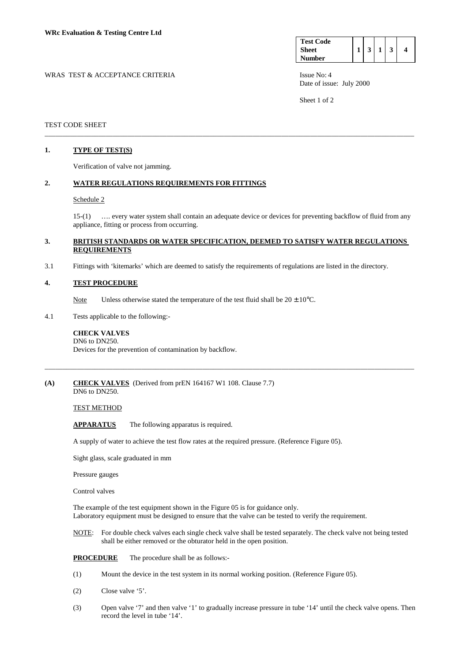| <b>Test Code</b> |   |  |  |
|------------------|---|--|--|
| <b>Sheet</b>     | 3 |  |  |
| <b>Number</b>    |   |  |  |

WRAS TEST & ACCEPTANCE CRITERIA ISSUE No: 4 Date of issue: July 2000

Sheet 1 of 2

## TEST CODE SHEET

## **1. TYPE OF TEST(S)**

Verification of valve not jamming.

#### **2. WATER REGULATIONS REQUIREMENTS FOR FITTINGS**

#### Schedule 2

 15-(1) …. every water system shall contain an adequate device or devices for preventing backflow of fluid from any appliance, fitting or process from occurring.

## **3. BRITISH STANDARDS OR WATER SPECIFICATION, DEEMED TO SATISFY WATER REGULATIONS REQUIREMENTS**

\_\_\_\_\_\_\_\_\_\_\_\_\_\_\_\_\_\_\_\_\_\_\_\_\_\_\_\_\_\_\_\_\_\_\_\_\_\_\_\_\_\_\_\_\_\_\_\_\_\_\_\_\_\_\_\_\_\_\_\_\_\_\_\_\_\_\_\_\_\_\_\_\_\_\_\_\_\_\_\_\_\_\_\_\_\_\_\_\_\_\_\_\_\_\_\_\_\_\_\_\_\_\_

\_\_\_\_\_\_\_\_\_\_\_\_\_\_\_\_\_\_\_\_\_\_\_\_\_\_\_\_\_\_\_\_\_\_\_\_\_\_\_\_\_\_\_\_\_\_\_\_\_\_\_\_\_\_\_\_\_\_\_\_\_\_\_\_\_\_\_\_\_\_\_\_\_\_\_\_\_\_\_\_\_\_\_\_\_\_\_\_\_\_\_\_\_\_\_\_\_\_\_\_\_\_\_

3.1 Fittings with 'kitemarks' which are deemed to satisfy the requirements of regulations are listed in the directory.

#### **4. TEST PROCEDURE**

- Note Unless otherwise stated the temperature of the test fluid shall be  $20 \pm 10^{\circ}$ C.
- 4.1 Tests applicable to the following:-

#### **CHECK VALVES**  DN6 to DN250.

Devices for the prevention of contamination by backflow.

#### **(A) CHECK VALVES** (Derived from prEN 164167 W1 108. Clause 7.7) DN6 to DN250.

## TEST METHOD

**APPARATUS** The following apparatus is required.

A supply of water to achieve the test flow rates at the required pressure. (Reference Figure 05).

Sight glass, scale graduated in mm

Pressure gauges

Control valves

The example of the test equipment shown in the Figure 05 is for guidance only. Laboratory equipment must be designed to ensure that the valve can be tested to verify the requirement.

 NOTE: For double check valves each single check valve shall be tested separately. The check valve not being tested shall be either removed or the obturator held in the open position.

**PROCEDURE** The procedure shall be as follows:-

- (1) Mount the device in the test system in its normal working position. (Reference Figure 05).
- (2) Close valve '5'.
- (3) Open valve '7' and then valve '1' to gradually increase pressure in tube '14' until the check valve opens. Then record the level in tube '14'.